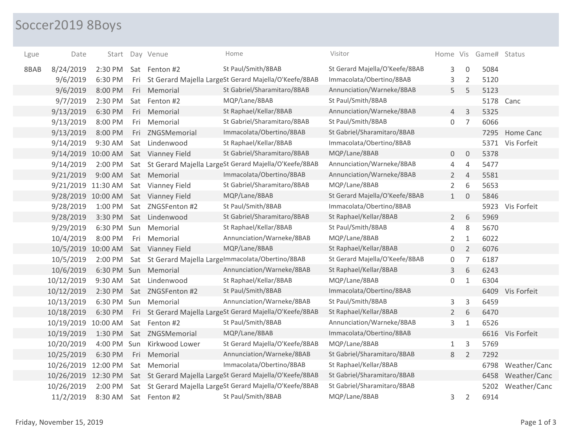## Soccer2019 8Boys

| Lgue | Date                | Start       |     | Day Venue            | Home                                                      | Visitor                        |                |                | Home Vis Game# Status |                  |
|------|---------------------|-------------|-----|----------------------|-----------------------------------------------------------|--------------------------------|----------------|----------------|-----------------------|------------------|
| 8BAB | 8/24/2019           | 2:30 PM     |     | Sat Fenton #2        | St Paul/Smith/8BAB                                        | St Gerard Majella/O'Keefe/8BAB | 3              | $\mathbf 0$    | 5084                  |                  |
|      | 9/6/2019            | 6:30 PM     | Fri |                      | St Gerard Majella LargeSt Gerard Majella/O'Keefe/8BAB     | Immacolata/Obertino/8BAB       | 3              | 2              | 5120                  |                  |
|      | 9/6/2019            | 8:00 PM     | Fri | Memorial             | St Gabriel/Sharamitaro/8BAB                               | Annunciation/Warneke/8BAB      | 5              | 5              | 5123                  |                  |
|      | 9/7/2019            | 2:30 PM     | Sat | Fenton #2            | MQP/Lane/8BAB                                             | St Paul/Smith/8BAB             |                |                | 5178                  | Canc             |
|      | 9/13/2019           | 6:30 PM     | Fri | Memorial             | St Raphael/Kellar/8BAB                                    | Annunciation/Warneke/8BAB      | $\overline{4}$ | $\overline{3}$ | 5325                  |                  |
|      | 9/13/2019           | 8:00 PM     | Fri | Memorial             | St Gabriel/Sharamitaro/8BAB                               | St Paul/Smith/8BAB             | 0              | $\overline{7}$ | 6066                  |                  |
|      | 9/13/2019           | 8:00 PM     | Fri | ZNGSMemorial         | Immacolata/Obertino/8BAB                                  | St Gabriel/Sharamitaro/8BAB    |                |                | 7295                  | Home Canc        |
|      | 9/14/2019           | 9:30 AM     |     | Sat Lindenwood       | St Raphael/Kellar/8BAB                                    | Immacolata/Obertino/8BAB       |                |                |                       | 5371 Vis Forfeit |
|      | 9/14/2019           | 10:00 AM    |     | Sat Vianney Field    | St Gabriel/Sharamitaro/8BAB                               | MQP/Lane/8BAB                  | 0              | $\mathbf{0}$   | 5378                  |                  |
|      | 9/14/2019           | 2:00 PM     |     |                      | Sat St Gerard Majella LargeSt Gerard Majella/O'Keefe/8BAB | Annunciation/Warneke/8BAB      | 4              | $\overline{4}$ | 5477                  |                  |
|      | 9/21/2019           | 9:00 AM     |     | Sat Memorial         | Immacolata/Obertino/8BAB                                  | Annunciation/Warneke/8BAB      | $\overline{2}$ | $\overline{4}$ | 5581                  |                  |
|      | 9/21/2019 11:30 AM  |             |     | Sat Vianney Field    | St Gabriel/Sharamitaro/8BAB                               | MQP/Lane/8BAB                  | $\overline{2}$ | 6              | 5653                  |                  |
|      | 9/28/2019 10:00 AM  |             |     | Sat Vianney Field    | MQP/Lane/8BAB                                             | St Gerard Majella/O'Keefe/8BAB | 1              | $\overline{0}$ | 5846                  |                  |
|      | 9/28/2019           | 1:00 PM     | Sat | ZNGSFenton #2        | St Paul/Smith/8BAB                                        | Immacolata/Obertino/8BAB       |                |                |                       | 5923 Vis Forfeit |
|      | 9/28/2019           | 3:30 PM     | Sat | Lindenwood           | St Gabriel/Sharamitaro/8BAB                               | St Raphael/Kellar/8BAB         | $2^{\circ}$    | 6              | 5969                  |                  |
|      | 9/29/2019           | 6:30 PM Sun |     | Memorial             | St Raphael/Kellar/8BAB                                    | St Paul/Smith/8BAB             | 4              | $\,8\,$        | 5670                  |                  |
|      | 10/4/2019           | 8:00 PM     | Fri | Memorial             | Annunciation/Warneke/8BAB                                 | MQP/Lane/8BAB                  | 2              | $\mathbf{1}$   | 6022                  |                  |
|      | 10/5/2019 10:00 AM  |             |     | Sat Vianney Field    | MQP/Lane/8BAB                                             | St Raphael/Kellar/8BAB         | $\mathbf 0$    | $\overline{2}$ | 6076                  |                  |
|      | 10/5/2019           | 2:00 PM     |     |                      | Sat St Gerard Majella Largelmmacolata/Obertino/8BAB       | St Gerard Majella/O'Keefe/8BAB | 0              | 7              | 6187                  |                  |
|      | 10/6/2019           |             |     | 6:30 PM Sun Memorial | Annunciation/Warneke/8BAB                                 | St Raphael/Kellar/8BAB         | 3              | 6              | 6243                  |                  |
|      | 10/12/2019          | 9:30 AM     |     | Sat Lindenwood       | St Raphael/Kellar/8BAB                                    | MQP/Lane/8BAB                  | 0              | $\mathbf{1}$   | 6304                  |                  |
|      | 10/12/2019          | 2:30 PM     |     | Sat ZNGSFenton #2    | St Paul/Smith/8BAB                                        | Immacolata/Obertino/8BAB       |                |                |                       | 6409 Vis Forfeit |
|      | 10/13/2019          | 6:30 PM Sun |     | Memorial             | Annunciation/Warneke/8BAB                                 | St Paul/Smith/8BAB             | 3              | 3              | 6459                  |                  |
|      | 10/18/2019          | 6:30 PM     |     |                      | Fri St Gerard Majella LargeSt Gerard Majella/O'Keefe/8BAB | St Raphael/Kellar/8BAB         | $\overline{2}$ | 6              | 6470                  |                  |
|      | 10/19/2019 10:00 AM |             |     | Sat Fenton #2        | St Paul/Smith/8BAB                                        | Annunciation/Warneke/8BAB      | 3              | $\mathbf{1}$   | 6526                  |                  |
|      | 10/19/2019          | 1:30 PM     |     | Sat ZNGSMemorial     | MQP/Lane/8BAB                                             | Immacolata/Obertino/8BAB       |                |                |                       | 6616 Vis Forfeit |
|      | 10/20/2019          | 4:00 PM Sun |     | Kirkwood Lower       | St Gerard Majella/O'Keefe/8BAB                            | MQP/Lane/8BAB                  | $\mathbf{1}$   | 3              | 5769                  |                  |
|      | 10/25/2019          | 6:30 PM     | Fri | Memorial             | Annunciation/Warneke/8BAB                                 | St Gabriel/Sharamitaro/8BAB    | 8              | $\overline{2}$ | 7292                  |                  |
|      | 10/26/2019          | 12:00 PM    |     | Sat Memorial         | Immacolata/Obertino/8BAB                                  | St Raphael/Kellar/8BAB         |                |                | 6798                  | Weather/Canc     |
|      | 10/26/2019 12:30 PM |             |     |                      | Sat St Gerard Majella LargeSt Gerard Majella/O'Keefe/8BAB | St Gabriel/Sharamitaro/8BAB    |                |                | 6458                  | Weather/Canc     |
|      | 10/26/2019          | 2:00 PM     |     |                      | Sat St Gerard Majella LargeSt Gerard Majella/O'Keefe/8BAB | St Gabriel/Sharamitaro/8BAB    |                |                | 5202                  | Weather/Canc     |
|      | 11/2/2019           | 8:30 AM     |     | Sat Fenton #2        | St Paul/Smith/8BAB                                        | MQP/Lane/8BAB                  | 3              | $\overline{2}$ | 6914                  |                  |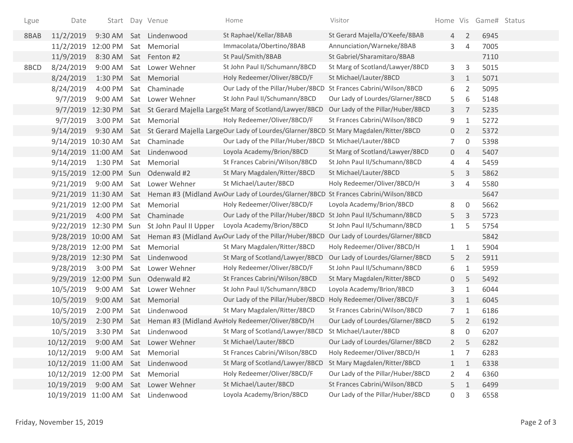| Lgue | Date                |          |     | Start Day Venue                              | Home                                                                                                        | Visitor                           |                |                | Home Vis Game# Status |  |
|------|---------------------|----------|-----|----------------------------------------------|-------------------------------------------------------------------------------------------------------------|-----------------------------------|----------------|----------------|-----------------------|--|
| 8BAB | 11/2/2019           |          |     | 9:30 AM Sat Lindenwood                       | St Raphael/Kellar/8BAB                                                                                      | St Gerard Majella/O'Keefe/8BAB    | 4              | $\overline{2}$ | 6945                  |  |
|      | 11/2/2019           | 12:00 PM |     | Sat Memorial                                 | Immacolata/Obertino/8BAB                                                                                    | Annunciation/Warneke/8BAB         | 3              | 4              | 7005                  |  |
|      | 11/9/2019           | 8:30 AM  |     | Sat Fenton #2                                | St Paul/Smith/8BAB                                                                                          | St Gabriel/Sharamitaro/8BAB       |                |                | 7110                  |  |
| 8BCD | 8/24/2019           | 9:00 AM  |     | Sat Lower Wehner                             | St John Paul II/Schumann/8BCD                                                                               | St Marg of Scotland/Lawyer/8BCD   | 3              | 3              | 5015                  |  |
|      | 8/24/2019           |          |     | 1:30 PM Sat Memorial                         | Holy Redeemer/Oliver/8BCD/F                                                                                 | St Michael/Lauter/8BCD            | 3              | $\mathbf{1}$   | 5071                  |  |
|      | 8/24/2019           | 4:00 PM  |     | Sat Chaminade                                | Our Lady of the Pillar/Huber/8BCD                                                                           | St Frances Cabrini/Wilson/8BCD    | 6              | $\overline{2}$ | 5095                  |  |
|      | 9/7/2019            | 9:00 AM  |     | Sat Lower Wehner                             | St John Paul II/Schumann/8BCD                                                                               | Our Lady of Lourdes/Glarner/8BCD  | 5              | 6              | 5148                  |  |
|      | 9/7/2019            | 12:30 PM |     |                                              | Sat St Gerard Majella LargeSt Marg of Scotland/Lawyer/8BCD                                                  | Our Lady of the Pillar/Huber/8BCD | 3              | 7              | 5235                  |  |
|      | 9/7/2019            |          |     | 3:00 PM Sat Memorial                         | Holy Redeemer/Oliver/8BCD/F                                                                                 | St Frances Cabrini/Wilson/8BCD    | 9              | 1              | 5272                  |  |
|      | 9/14/2019           |          |     |                                              | 9:30 AM Sat St Gerard Majella LargeOur Lady of Lourdes/Glarner/8BCD St Mary Magdalen/Ritter/8BCD            |                                   | $\overline{0}$ | $\overline{2}$ | 5372                  |  |
|      | 9/14/2019 10:30 AM  |          |     | Sat Chaminade                                | Our Lady of the Pillar/Huber/8BCD St Michael/Lauter/8BCD                                                    |                                   | 7              | $\mathbf 0$    | 5398                  |  |
|      |                     |          |     | 9/14/2019 11:00 AM Sat Lindenwood            | Loyola Academy/Brion/8BCD                                                                                   | St Marg of Scotland/Lawyer/8BCD   | $\overline{0}$ | $\overline{4}$ | 5407                  |  |
|      | 9/14/2019           | 1:30 PM  |     | Sat Memorial                                 | St Frances Cabrini/Wilson/8BCD                                                                              | St John Paul II/Schumann/8BCD     | 4              | 4              | 5459                  |  |
|      | 9/15/2019           |          |     | 12:00 PM Sun Odenwald #2                     | St Mary Magdalen/Ritter/8BCD                                                                                | St Michael/Lauter/8BCD            | 5              | $\mathbf{3}$   | 5862                  |  |
|      | 9/21/2019           |          |     | 9:00 AM Sat Lower Wehner                     | St Michael/Lauter/8BCD                                                                                      | Holy Redeemer/Oliver/8BCD/H       | 3              | 4              | 5580                  |  |
|      |                     |          |     |                                              | 9/21/2019 11:30 AM Sat Heman #3 (Midland AvtOur Lady of Lourdes/Glarner/8BCD St Frances Cabrini/Wilson/8BCD |                                   |                |                | 5647                  |  |
|      | 9/21/2019           | 12:00 PM | Sat | Memorial                                     | Holy Redeemer/Oliver/8BCD/F                                                                                 | Loyola Academy/Brion/8BCD         | 8              | $\overline{0}$ | 5662                  |  |
|      | 9/21/2019           |          |     | 4:00 PM Sat Chaminade                        | Our Lady of the Pillar/Huber/8BCD St John Paul II/Schumann/8BCD                                             |                                   | 5              | 3              | 5723                  |  |
|      |                     |          |     | 9/22/2019 12:30 PM Sun St John Paul II Upper | Loyola Academy/Brion/8BCD                                                                                   | St John Paul II/Schumann/8BCD     | $\mathbf{1}$   | 5              | 5754                  |  |
|      |                     |          |     |                                              | 9/28/2019 10:00 AM Sat Heman #3 (Midland AveOur Lady of the Pillar/Huber/8BCD                               | Our Lady of Lourdes/Glarner/8BCD  |                |                | 5842                  |  |
|      | 9/28/2019 12:00 PM  |          |     | Sat Memorial                                 | St Mary Magdalen/Ritter/8BCD                                                                                | Holy Redeemer/Oliver/8BCD/H       | $\mathbf{1}$   | $\mathbf{1}$   | 5904                  |  |
|      |                     |          |     | 9/28/2019 12:30 PM Sat Lindenwood            | St Marg of Scotland/Lawyer/8BCD                                                                             | Our Lady of Lourdes/Glarner/8BCD  | 5              | $\overline{2}$ | 5911                  |  |
|      | 9/28/2019           |          |     | 3:00 PM Sat Lower Wehner                     | Holy Redeemer/Oliver/8BCD/F                                                                                 | St John Paul II/Schumann/8BCD     | 6              | $\mathbf{1}$   | 5959                  |  |
|      | 9/29/2019           |          |     | 12:00 PM Sun Odenwald #2                     | St Frances Cabrini/Wilson/8BCD                                                                              | St Mary Magdalen/Ritter/8BCD      | $\mathbf 0$    | 5              | 5492                  |  |
|      | 10/5/2019           | 9:00 AM  |     | Sat Lower Wehner                             | St John Paul II/Schumann/8BCD                                                                               | Loyola Academy/Brion/8BCD         | 3              | $\mathbf{1}$   | 6044                  |  |
|      | 10/5/2019           | 9:00 AM  |     | Sat Memorial                                 | Our Lady of the Pillar/Huber/8BCD                                                                           | Holy Redeemer/Oliver/8BCD/F       | 3              | $\mathbf{1}$   | 6045                  |  |
|      | 10/5/2019           | 2:00 PM  |     | Sat Lindenwood                               | St Mary Magdalen/Ritter/8BCD                                                                                | St Frances Cabrini/Wilson/8BCD    | 7              | $\mathbf{1}$   | 6186                  |  |
|      | 10/5/2019           |          |     |                                              | 2:30 PM Sat Heman #3 (Midland AvtHoly Redeemer/Oliver/8BCD/H                                                | Our Lady of Lourdes/Glarner/8BCD  | 5              | $\overline{2}$ | 6192                  |  |
|      | 10/5/2019           |          |     | 3:30 PM Sat Lindenwood                       | St Marg of Scotland/Lawyer/8BCD                                                                             | St Michael/Lauter/8BCD            | 8              | 0              | 6207                  |  |
|      | 10/12/2019          |          |     | 9:00 AM Sat Lower Wehner                     | St Michael/Lauter/8BCD                                                                                      | Our Lady of Lourdes/Glarner/8BCD  | $\overline{2}$ | 5              | 6282                  |  |
|      | 10/12/2019          | 9:00 AM  | Sat | Memorial                                     | St Frances Cabrini/Wilson/8BCD                                                                              | Holy Redeemer/Oliver/8BCD/H       | 1              | 7              | 6283                  |  |
|      | 10/12/2019 11:00 AM |          | Sat | Lindenwood                                   | St Marg of Scotland/Lawyer/8BCD                                                                             | St Mary Magdalen/Ritter/8BCD      | $\mathbf{1}$   | 1              | 6338                  |  |
|      | 10/12/2019          | 12:00 PM | Sat | Memorial                                     | Holy Redeemer/Oliver/8BCD/F                                                                                 | Our Lady of the Pillar/Huber/8BCD | $\overline{2}$ | 4              | 6360                  |  |
|      | 10/19/2019          | 9:00 AM  | Sat | Lower Wehner                                 | St Michael/Lauter/8BCD                                                                                      | St Frances Cabrini/Wilson/8BCD    | 5              | 1              | 6499                  |  |
|      | 10/19/2019 11:00 AM |          | Sat | Lindenwood                                   | Loyola Academy/Brion/8BCD                                                                                   | Our Lady of the Pillar/Huber/8BCD | 0              | 3              | 6558                  |  |